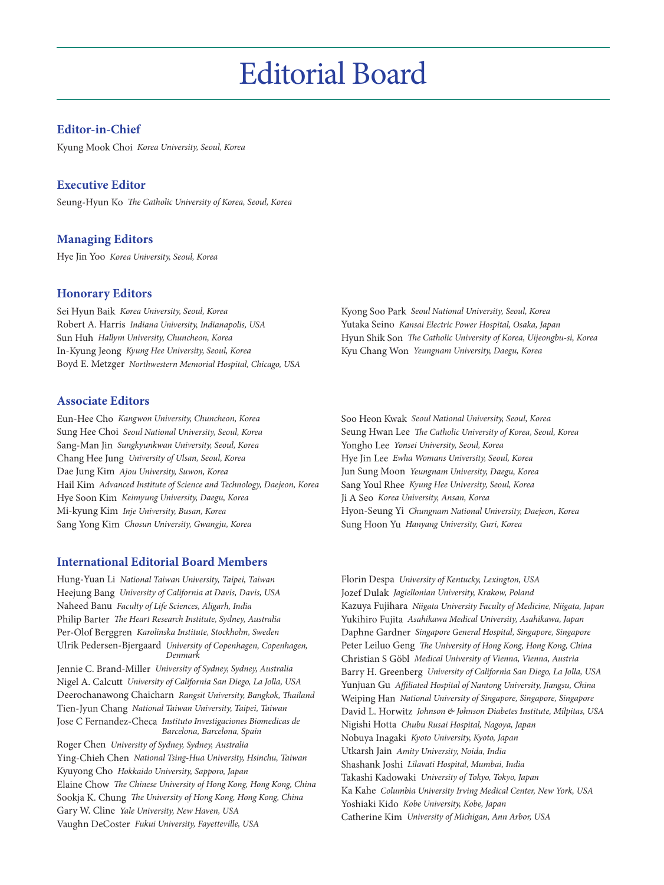## Editorial Board

## **Editor-in-Chief**

Kyung Mook Choi *Korea University, Seoul, Korea*

#### **Executive Editor**

Seung-Hyun Ko *The Catholic University of Korea, Seoul, Korea*

#### **Managing Editors**

Hye Jin Yoo *Korea University, Seoul, Korea*

#### **Honorary Editors**

Sei Hyun Baik *Korea University, Seoul, Korea* Robert A. Harris *Indiana University, Indianapolis, USA* Sun Huh *Hallym University, Chuncheon, Korea* In-Kyung Jeong *Kyung Hee University, Seoul, Korea* Boyd E. Metzger *Northwestern Memorial Hospital, Chicago, USA*

#### **Associate Editors**

Eun-Hee Cho *Kangwon University, Chuncheon, Korea* Sung Hee Choi *Seoul National University, Seoul, Korea* Sang-Man Jin *Sungkyunkwan University, Seoul, Korea* Chang Hee Jung *University of Ulsan, Seoul, Korea* Dae Jung Kim *Ajou University, Suwon, Korea* Hail Kim *Advanced Institute of Science and Technology, Daejeon, Korea* Hye Soon Kim *Keimyung University, Daegu, Korea* Mi-kyung Kim *Inje University, Busan, Korea* Sang Yong Kim *Chosun University, Gwangju, Korea*

#### **International Editorial Board Members**

Hung-Yuan Li *National Taiwan University, Taipei, Taiwan* Heejung Bang *University of California at Davis, Davis, USA* Naheed Banu *Faculty of Life Sciences, Aligarh, India* Philip Barter *The Heart Research Institute, Sydney, Australia* Per-Olof Berggren *Karolinska Institute, Stockholm, Sweden* Ulrik Pedersen-Bjergaard *University of Copenhagen, Copenhagen, Denmark*

Jennie C. Brand-Miller *University of Sydney, Sydney, Australia* Nigel A. Calcutt *University of California San Diego, La Jolla, USA* Deerochanawong Chaicharn *Rangsit University, Bangkok, Thailand* Tien-Jyun Chang *National Taiwan University, Taipei, Taiwan* Jose C Fernandez-Checa *Instituto Investigaciones Biomedicas de Barcelona, Barcelona, Spain*

Roger Chen *University of Sydney, Sydney, Australia* Ying-Chieh Chen *National Tsing-Hua University, Hsinchu, Taiwan* Kyuyong Cho *Hokkaido University, Sapporo, Japan* Elaine Chow *The Chinese University of Hong Kong, Hong Kong, China* Sookja K. Chung *The University of Hong Kong, Hong Kong, China* Gary W. Cline *Yale University, New Haven, USA* Vaughn DeCoster *Fukui University, Fayetteville, USA*

Kyong Soo Park *Seoul National University, Seoul, Korea* Yutaka Seino *Kansai Electric Power Hospital, Osaka, Japan* Hyun Shik Son *The Catholic University of Korea, Uijeongbu-si, Korea* Kyu Chang Won *Yeungnam University, Daegu, Korea*

Soo Heon Kwak *Seoul National University, Seoul, Korea* Seung Hwan Lee *The Catholic University of Korea, Seoul, Korea* Yongho Lee *Yonsei University, Seoul, Korea* Hye Jin Lee *Ewha Womans University, Seoul, Korea* Jun Sung Moon *Yeungnam University, Daegu, Korea* Sang Youl Rhee *Kyung Hee University, Seoul, Korea* Ji A Seo *Korea University, Ansan, Korea* Hyon-Seung Yi *Chungnam National University, Daejeon, Korea* Sung Hoon Yu *Hanyang University, Guri, Korea*

Florin Despa *University of Kentucky, Lexington, USA* Jozef Dulak *Jagiellonian University, Krakow, Poland* Kazuya Fujihara *Niigata University Faculty of Medicine, Niigata, Japan* Yukihiro Fujita *Asahikawa Medical University, Asahikawa, Japan* Daphne Gardner *Singapore General Hospital, Singapore, Singapore* Peter Leiluo Geng *The University of Hong Kong, Hong Kong, China* Christian S Göbl *Medical University of Vienna, Vienna, Austria* Barry H. Greenberg *University of California San Diego, La Jolla, USA* Yunjuan Gu *Affiliated Hospital of Nantong University, Jiangsu, China* Weiping Han *National University of Singapore, Singapore, Singapore* David L. Horwitz *Johnson & Johnson Diabetes Institute, Milpitas, USA* Nigishi Hotta *Chubu Rusai Hospital, Nagoya, Japan* Nobuya Inagaki *Kyoto University, Kyoto, Japan* Utkarsh Jain *Amity University, Noida, India*  Shashank Joshi *Lilavati Hospital, Mumbai, India* Takashi Kadowaki *University of Tokyo, Tokyo, Japan* Ka Kahe *Columbia University Irving Medical Center, New York, USA* Yoshiaki Kido *Kobe University, Kobe, Japan* Catherine Kim *University of Michigan, Ann Arbor, USA*